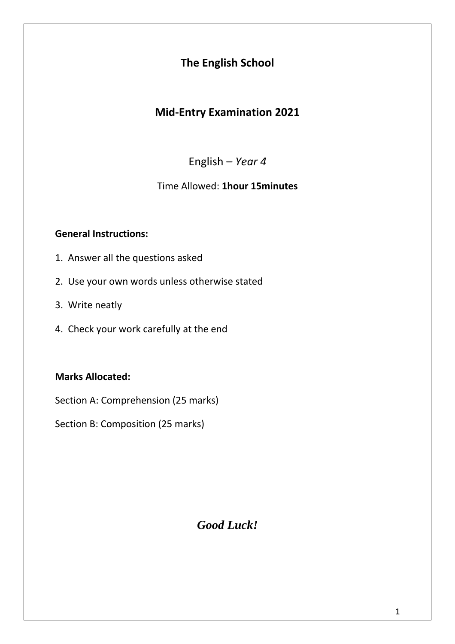## **The English School**

## **Mid-Entry Examination 2021**

English – *Year 4*

Time Allowed: **1hour 15minutes**

## **General Instructions:**

- 1. Answer all the questions asked
- 2. Use your own words unless otherwise stated
- 3. Write neatly
- 4. Check your work carefully at the end

## **Marks Allocated:**

Section A: Comprehension (25 marks)

Section B: Composition (25 marks)

*Good Luck!*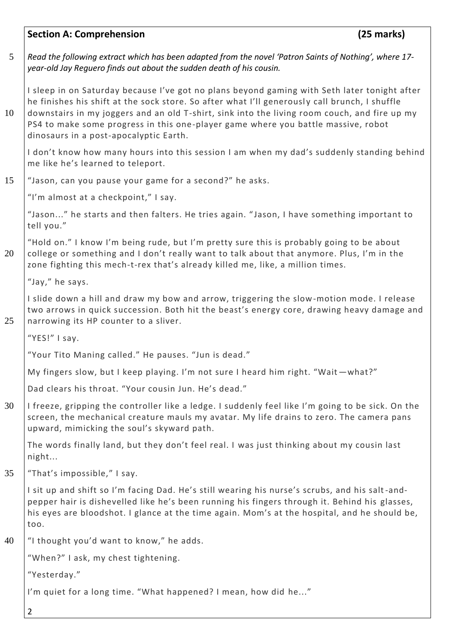# **Section A: Comprehension (25 marks)**

| 5 <sup>5</sup> | Read the following extract which has been adapted from the novel 'Patron Saints of Nothing', where 17-<br>year-old Jay Reguero finds out about the sudden death of his cousin.                                                                                                                                                                                                                                               |
|----------------|------------------------------------------------------------------------------------------------------------------------------------------------------------------------------------------------------------------------------------------------------------------------------------------------------------------------------------------------------------------------------------------------------------------------------|
| 10             | I sleep in on Saturday because I've got no plans beyond gaming with Seth later tonight after<br>he finishes his shift at the sock store. So after what I'll generously call brunch, I shuffle<br>downstairs in my joggers and an old T-shirt, sink into the living room couch, and fire up my<br>PS4 to make some progress in this one-player game where you battle massive, robot<br>dinosaurs in a post-apocalyptic Earth. |
|                | I don't know how many hours into this session I am when my dad's suddenly standing behind<br>me like he's learned to teleport.                                                                                                                                                                                                                                                                                               |
| 15             | "Jason, can you pause your game for a second?" he asks.                                                                                                                                                                                                                                                                                                                                                                      |
|                | "I'm almost at a checkpoint," I say.                                                                                                                                                                                                                                                                                                                                                                                         |
|                | "Jason" he starts and then falters. He tries again. "Jason, I have something important to<br>tell you."                                                                                                                                                                                                                                                                                                                      |
| 20             | "Hold on." I know I'm being rude, but I'm pretty sure this is probably going to be about<br>college or something and I don't really want to talk about that anymore. Plus, I'm in the<br>zone fighting this mech-t-rex that's already killed me, like, a million times.                                                                                                                                                      |
|                | "Jay," he says.                                                                                                                                                                                                                                                                                                                                                                                                              |
| 25             | I slide down a hill and draw my bow and arrow, triggering the slow-motion mode. I release<br>two arrows in quick succession. Both hit the beast's energy core, drawing heavy damage and<br>narrowing its HP counter to a sliver.                                                                                                                                                                                             |
|                | "YES!" $\mid$ say.                                                                                                                                                                                                                                                                                                                                                                                                           |
|                | "Your Tito Maning called." He pauses. "Jun is dead."                                                                                                                                                                                                                                                                                                                                                                         |
|                | My fingers slow, but I keep playing. I'm not sure I heard him right. "Wait-what?"                                                                                                                                                                                                                                                                                                                                            |
|                | Dad clears his throat. "Your cousin Jun. He's dead."                                                                                                                                                                                                                                                                                                                                                                         |
| 30             | I freeze, gripping the controller like a ledge. I suddenly feel like I'm going to be sick. On the<br>screen, the mechanical creature mauls my avatar. My life drains to zero. The camera pans<br>upward, mimicking the soul's skyward path.                                                                                                                                                                                  |
|                | The words finally land, but they don't feel real. I was just thinking about my cousin last<br>night                                                                                                                                                                                                                                                                                                                          |
| 35             | "That's impossible," I say.                                                                                                                                                                                                                                                                                                                                                                                                  |
|                | I sit up and shift so I'm facing Dad. He's still wearing his nurse's scrubs, and his salt-and-<br>pepper hair is dishevelled like he's been running his fingers through it. Behind his glasses,<br>his eyes are bloodshot. I glance at the time again. Mom's at the hospital, and he should be,<br>too.                                                                                                                      |
| 40             | "I thought you'd want to know," he adds.                                                                                                                                                                                                                                                                                                                                                                                     |
|                | "When?" I ask, my chest tightening.                                                                                                                                                                                                                                                                                                                                                                                          |
|                | "Yesterday."                                                                                                                                                                                                                                                                                                                                                                                                                 |
|                | I'm quiet for a long time. "What happened? I mean, how did he"                                                                                                                                                                                                                                                                                                                                                               |
|                | $\overline{2}$                                                                                                                                                                                                                                                                                                                                                                                                               |
|                |                                                                                                                                                                                                                                                                                                                                                                                                                              |
|                |                                                                                                                                                                                                                                                                                                                                                                                                                              |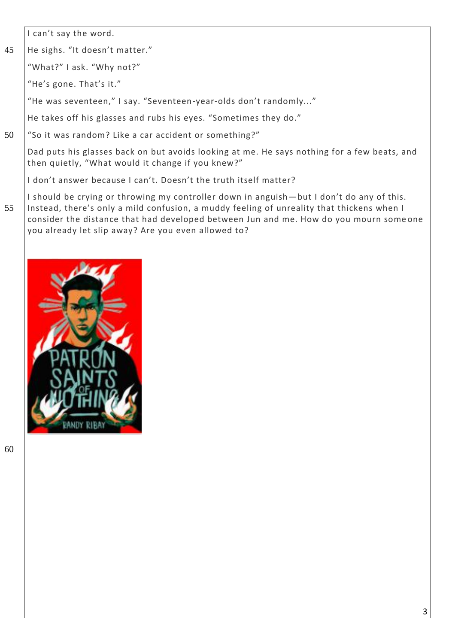I can't say the word.

45 | He sighs. "It doesn't matter."

"What?" I ask. "Why not?"

"He's gone. That's it."

"He was seventeen," I say. "Seventeen-year-olds don't randomly..."

He takes off his glasses and rubs his eyes. "Sometimes they do."

50 "So it was random? Like a car accident or something?"

Dad puts his glasses back on but avoids looking at me. He says nothing for a few beats, and then quietly, "What would it change if you knew?"

I don't answer because I can't. Doesn't the truth itself matter?

I should be crying or throwing my controller down in anguish—but I don't do any of this. 55 Instead, there's only a mild confusion, a muddy feeling of unreality that thickens when I consider the distance that had developed between Jun and me. How do you mourn some one you already let slip away? Are you even allowed to?

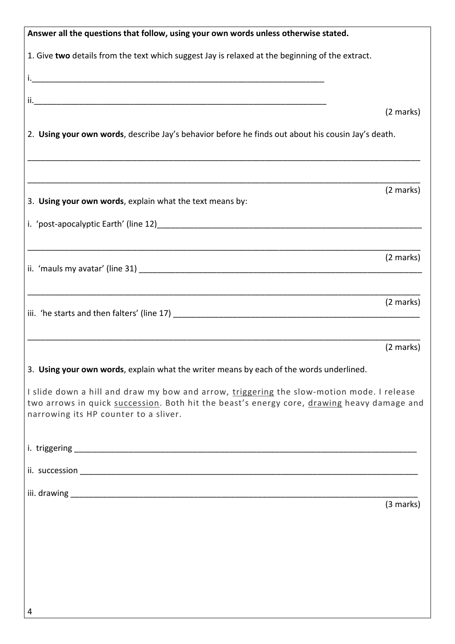| Answer all the questions that follow, using your own words unless otherwise stated.                                                                                                                                              |  |
|----------------------------------------------------------------------------------------------------------------------------------------------------------------------------------------------------------------------------------|--|
| 1. Give two details from the text which suggest Jay is relaxed at the beginning of the extract.                                                                                                                                  |  |
|                                                                                                                                                                                                                                  |  |
|                                                                                                                                                                                                                                  |  |
| $(2 \text{ marks})$                                                                                                                                                                                                              |  |
| 2. Using your own words, describe Jay's behavior before he finds out about his cousin Jay's death.                                                                                                                               |  |
|                                                                                                                                                                                                                                  |  |
|                                                                                                                                                                                                                                  |  |
| (2 marks)<br>3. Using your own words, explain what the text means by:                                                                                                                                                            |  |
|                                                                                                                                                                                                                                  |  |
|                                                                                                                                                                                                                                  |  |
| (2 marks)                                                                                                                                                                                                                        |  |
|                                                                                                                                                                                                                                  |  |
|                                                                                                                                                                                                                                  |  |
| (2 marks)                                                                                                                                                                                                                        |  |
|                                                                                                                                                                                                                                  |  |
| (2 marks)                                                                                                                                                                                                                        |  |
| 3. Using your own words, explain what the writer means by each of the words underlined.                                                                                                                                          |  |
| I slide down a hill and draw my bow and arrow, triggering the slow-motion mode. I release<br>two arrows in quick succession. Both hit the beast's energy core, drawing heavy damage and<br>narrowing its HP counter to a sliver. |  |
|                                                                                                                                                                                                                                  |  |
|                                                                                                                                                                                                                                  |  |
|                                                                                                                                                                                                                                  |  |
| (3 marks)                                                                                                                                                                                                                        |  |
|                                                                                                                                                                                                                                  |  |
|                                                                                                                                                                                                                                  |  |
|                                                                                                                                                                                                                                  |  |
|                                                                                                                                                                                                                                  |  |
| 4                                                                                                                                                                                                                                |  |
|                                                                                                                                                                                                                                  |  |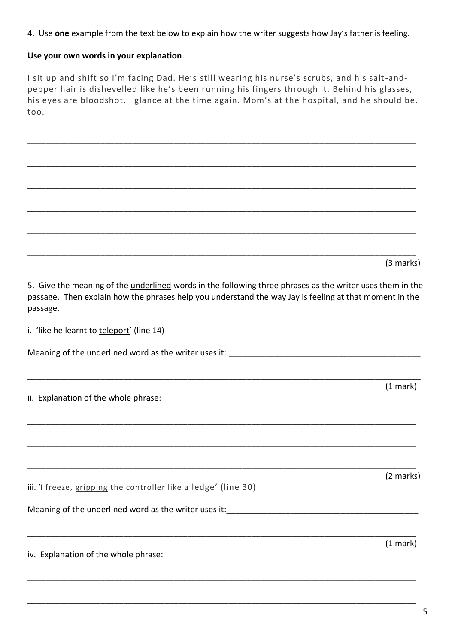4. Use **one** example from the text below to explain how the writer suggests how Jay's father is feeling.

#### **Use your own words in your explanation**.

I sit up and shift so I'm facing Dad. He's still wearing his nurse's scrubs, and his salt-andpepper hair is dishevelled like he's been running his fingers through it. Behind his glasses, his eyes are bloodshot. I glance at the time again. Mom's at the hospital, and he should be, too.

\_\_\_\_\_\_\_\_\_\_\_\_\_\_\_\_\_\_\_\_\_\_\_\_\_\_\_\_\_\_\_\_\_\_\_\_\_\_\_\_\_\_\_\_\_\_\_\_\_\_\_\_\_\_\_\_\_\_\_\_\_\_\_\_\_\_\_\_\_\_\_\_\_\_\_\_\_\_\_\_\_\_\_\_\_

\_\_\_\_\_\_\_\_\_\_\_\_\_\_\_\_\_\_\_\_\_\_\_\_\_\_\_\_\_\_\_\_\_\_\_\_\_\_\_\_\_\_\_\_\_\_\_\_\_\_\_\_\_\_\_\_\_\_\_\_\_\_\_\_\_\_\_\_\_\_\_\_\_\_\_\_\_\_\_\_\_\_\_\_\_

\_\_\_\_\_\_\_\_\_\_\_\_\_\_\_\_\_\_\_\_\_\_\_\_\_\_\_\_\_\_\_\_\_\_\_\_\_\_\_\_\_\_\_\_\_\_\_\_\_\_\_\_\_\_\_\_\_\_\_\_\_\_\_\_\_\_\_\_\_\_\_\_\_\_\_\_\_\_\_\_\_\_\_\_\_

\_\_\_\_\_\_\_\_\_\_\_\_\_\_\_\_\_\_\_\_\_\_\_\_\_\_\_\_\_\_\_\_\_\_\_\_\_\_\_\_\_\_\_\_\_\_\_\_\_\_\_\_\_\_\_\_\_\_\_\_\_\_\_\_\_\_\_\_\_\_\_\_\_\_\_\_\_\_\_\_\_\_\_\_\_

\_\_\_\_\_\_\_\_\_\_\_\_\_\_\_\_\_\_\_\_\_\_\_\_\_\_\_\_\_\_\_\_\_\_\_\_\_\_\_\_\_\_\_\_\_\_\_\_\_\_\_\_\_\_\_\_\_\_\_\_\_\_\_\_\_\_\_\_\_\_\_\_\_\_\_\_\_\_\_\_\_\_\_\_\_

\_\_\_\_\_\_\_\_\_\_\_\_\_\_\_\_\_\_\_\_\_\_\_\_\_\_\_\_\_\_\_\_\_\_\_\_\_\_\_\_\_\_\_\_\_\_\_\_\_\_\_\_\_\_\_\_\_\_\_\_\_\_\_\_\_\_\_\_\_\_\_\_\_\_\_\_\_\_\_\_\_\_\_\_\_

(3 marks)

(1 mark)

(2 marks)

(1 mark)

5. Give the meaning of the *underlined* words in the following three phrases as the writer uses them in the passage. Then explain how the phrases help you understand the way Jay is feeling at that moment in the passage.

\_\_\_\_\_\_\_\_\_\_\_\_\_\_\_\_\_\_\_\_\_\_\_\_\_\_\_\_\_\_\_\_\_\_\_\_\_\_\_\_\_\_\_\_\_\_\_\_\_\_\_\_\_\_\_\_\_\_\_\_\_\_\_\_\_\_\_\_\_\_\_\_\_\_\_\_\_\_\_\_\_\_\_\_\_\_

\_\_\_\_\_\_\_\_\_\_\_\_\_\_\_\_\_\_\_\_\_\_\_\_\_\_\_\_\_\_\_\_\_\_\_\_\_\_\_\_\_\_\_\_\_\_\_\_\_\_\_\_\_\_\_\_\_\_\_\_\_\_\_\_\_\_\_\_\_\_\_\_\_\_\_\_\_\_\_\_\_\_\_\_\_

\_\_\_\_\_\_\_\_\_\_\_\_\_\_\_\_\_\_\_\_\_\_\_\_\_\_\_\_\_\_\_\_\_\_\_\_\_\_\_\_\_\_\_\_\_\_\_\_\_\_\_\_\_\_\_\_\_\_\_\_\_\_\_\_\_\_\_\_\_\_\_\_\_\_\_\_\_\_\_\_\_\_\_\_\_

\_\_\_\_\_\_\_\_\_\_\_\_\_\_\_\_\_\_\_\_\_\_\_\_\_\_\_\_\_\_\_\_\_\_\_\_\_\_\_\_\_\_\_\_\_\_\_\_\_\_\_\_\_\_\_\_\_\_\_\_\_\_\_\_\_\_\_\_\_\_\_\_\_\_\_\_\_\_\_\_\_\_\_\_\_

\_\_\_\_\_\_\_\_\_\_\_\_\_\_\_\_\_\_\_\_\_\_\_\_\_\_\_\_\_\_\_\_\_\_\_\_\_\_\_\_\_\_\_\_\_\_\_\_\_\_\_\_\_\_\_\_\_\_\_\_\_\_\_\_\_\_\_\_\_\_\_\_\_\_\_\_\_\_\_\_\_\_\_\_\_

\_\_\_\_\_\_\_\_\_\_\_\_\_\_\_\_\_\_\_\_\_\_\_\_\_\_\_\_\_\_\_\_\_\_\_\_\_\_\_\_\_\_\_\_\_\_\_\_\_\_\_\_\_\_\_\_\_\_\_\_\_\_\_\_\_\_\_\_\_\_\_\_\_\_\_\_\_\_\_\_\_\_\_\_\_

\_\_\_\_\_\_\_\_\_\_\_\_\_\_\_\_\_\_\_\_\_\_\_\_\_\_\_\_\_\_\_\_\_\_\_\_\_\_\_\_\_\_\_\_\_\_\_\_\_\_\_\_\_\_\_\_\_\_\_\_\_\_\_\_\_\_\_\_\_\_\_\_\_\_\_\_\_\_\_\_\_\_\_\_\_

i. 'like he learnt to teleport' (line 14)

Meaning of the underlined word as the writer uses it:

ii. Explanation of the whole phrase:

iii. 'I freeze, gripping the controller like a ledge' (line 30)

Meaning of the underlined word as the writer uses it:

iv. Explanation of the whole phrase: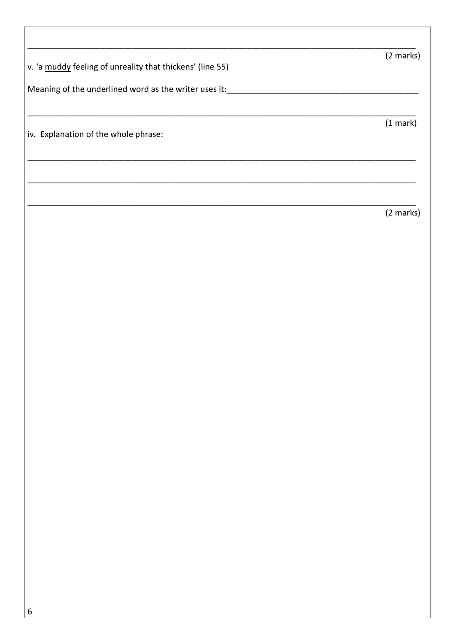|                                                           | (2 marks) |
|-----------------------------------------------------------|-----------|
| v. 'a muddy feeling of unreality that thickens' (line 55) |           |
|                                                           |           |
|                                                           |           |
| iv. Explanation of the whole phrase:                      | (1 mark)  |
|                                                           |           |
|                                                           |           |
|                                                           | (2 marks) |
|                                                           |           |
|                                                           |           |
|                                                           |           |
|                                                           |           |
|                                                           |           |
|                                                           |           |
|                                                           |           |
|                                                           |           |
|                                                           |           |
|                                                           |           |
|                                                           |           |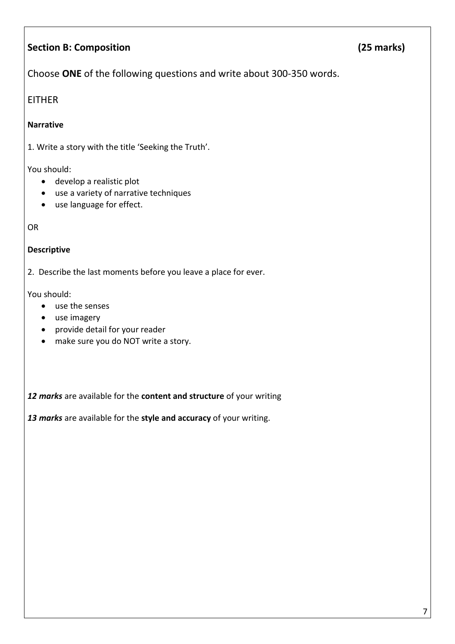## **Section B: Composition (25 marks)**

Choose **ONE** of the following questions and write about 300-350 words.

#### EITHER

#### **Narrative**

1. Write a story with the title 'Seeking the Truth'.

You should:

- develop a realistic plot
- use a variety of narrative techniques
- use language for effect.

OR

#### **Descriptive**

2. Describe the last moments before you leave a place for ever.

You should:

- use the senses
- use imagery
- provide detail for your reader
- make sure you do NOT write a story.

*12 marks* are available for the **content and structure** of your writing

*13 marks* are available for the **style and accuracy** of your writing.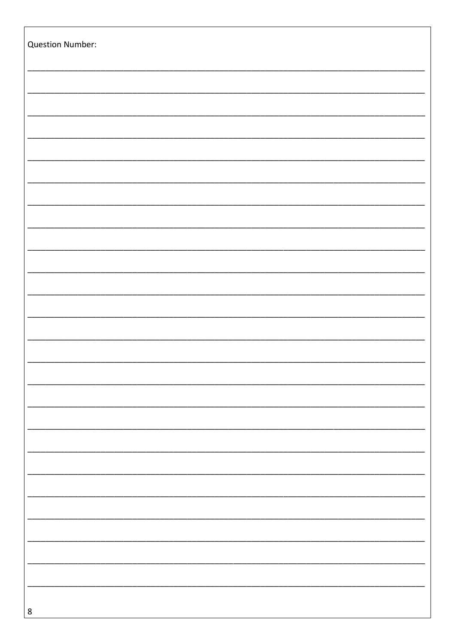| Question Number: |  |
|------------------|--|
|                  |  |
|                  |  |
|                  |  |
|                  |  |
|                  |  |
|                  |  |
|                  |  |
|                  |  |
|                  |  |
|                  |  |
|                  |  |
|                  |  |
|                  |  |
|                  |  |
|                  |  |
|                  |  |
|                  |  |
|                  |  |
|                  |  |
|                  |  |
|                  |  |
|                  |  |
|                  |  |
|                  |  |
|                  |  |
|                  |  |
|                  |  |
|                  |  |
|                  |  |
|                  |  |
|                  |  |
|                  |  |
|                  |  |
|                  |  |
|                  |  |
|                  |  |
|                  |  |
|                  |  |
|                  |  |
| $\overline{8}$   |  |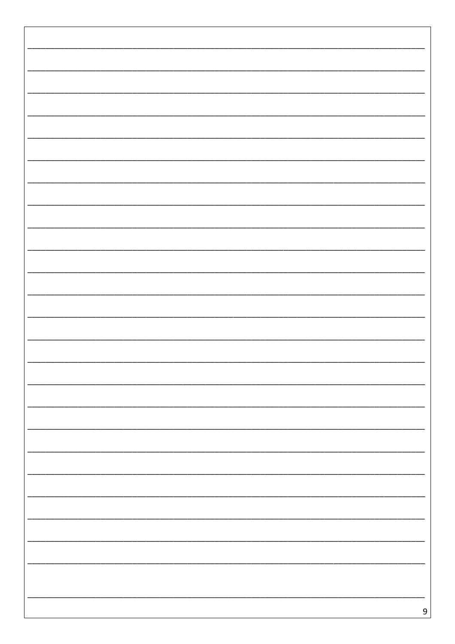|  |  | 9 |
|--|--|---|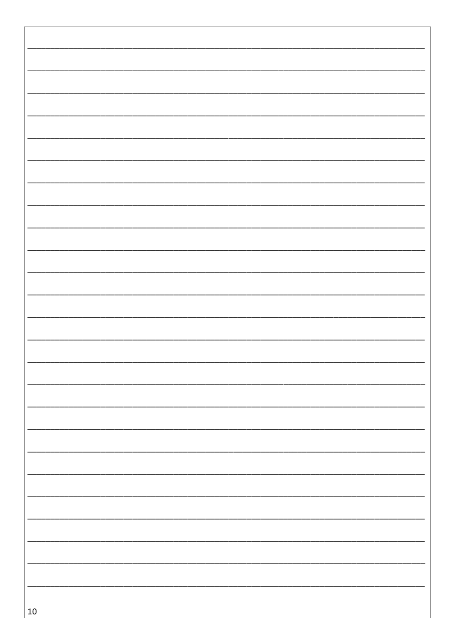| $10\,$ |  |  |
|--------|--|--|